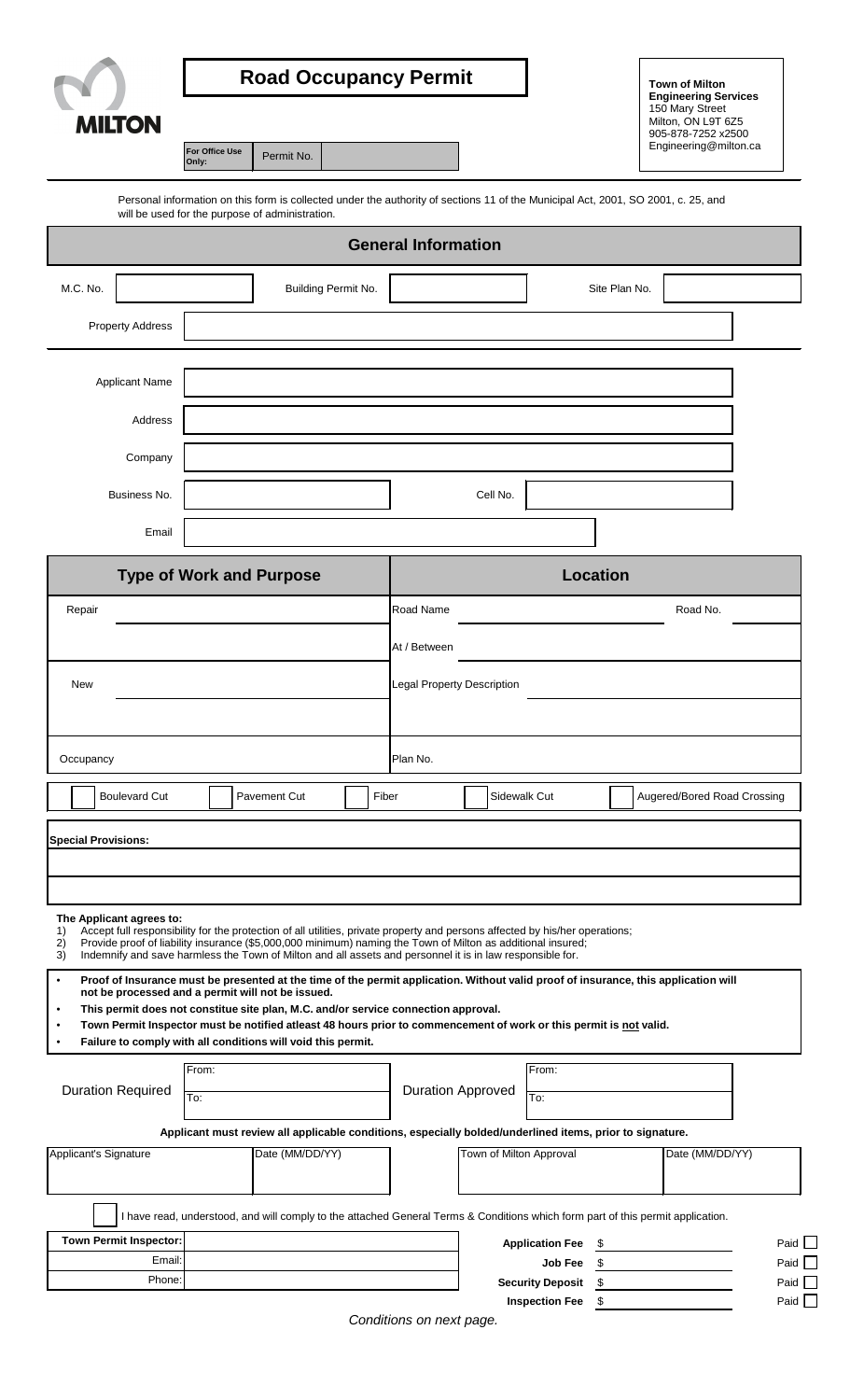| <b>MILTON</b>                   | For Office Use<br>Only:           |                                                                                                                                                                                      | <b>Road Occupancy Permit</b> |                            |              | <b>Town of Milton</b><br><b>Engineering Services</b><br>150 Mary Street<br>Milton, ON L9T 6Z5<br>905-878-7252 x2500<br>Engineering@milton.ca |  |                             |  |
|---------------------------------|-----------------------------------|--------------------------------------------------------------------------------------------------------------------------------------------------------------------------------------|------------------------------|----------------------------|--------------|----------------------------------------------------------------------------------------------------------------------------------------------|--|-----------------------------|--|
|                                 |                                   | Personal information on this form is collected under the authority of sections 11 of the Municipal Act, 2001, SO 2001, c. 25, and<br>will be used for the purpose of administration. |                              |                            |              |                                                                                                                                              |  |                             |  |
|                                 |                                   |                                                                                                                                                                                      |                              | <b>General Information</b> |              |                                                                                                                                              |  |                             |  |
| M.C. No.<br>Building Permit No. |                                   |                                                                                                                                                                                      |                              | Site Plan No.              |              |                                                                                                                                              |  |                             |  |
| <b>Property Address</b>         |                                   |                                                                                                                                                                                      |                              |                            |              |                                                                                                                                              |  |                             |  |
| Applicant Name                  |                                   |                                                                                                                                                                                      |                              |                            |              |                                                                                                                                              |  |                             |  |
| Address                         |                                   |                                                                                                                                                                                      |                              |                            |              |                                                                                                                                              |  |                             |  |
| Company                         |                                   |                                                                                                                                                                                      |                              |                            |              |                                                                                                                                              |  |                             |  |
| Business No.                    |                                   |                                                                                                                                                                                      |                              |                            | Cell No.     |                                                                                                                                              |  |                             |  |
| Email                           |                                   |                                                                                                                                                                                      |                              |                            |              |                                                                                                                                              |  |                             |  |
|                                 |                                   | <b>Type of Work and Purpose</b>                                                                                                                                                      |                              |                            |              | <b>Location</b>                                                                                                                              |  |                             |  |
| Repair                          |                                   |                                                                                                                                                                                      |                              | Road Name                  |              |                                                                                                                                              |  | Road No.                    |  |
|                                 |                                   |                                                                                                                                                                                      |                              | At / Between               |              |                                                                                                                                              |  |                             |  |
| <b>New</b>                      | <b>Legal Property Description</b> |                                                                                                                                                                                      |                              |                            |              |                                                                                                                                              |  |                             |  |
|                                 |                                   |                                                                                                                                                                                      |                              |                            |              |                                                                                                                                              |  |                             |  |
| Occupancy                       | Plan No.                          |                                                                                                                                                                                      |                              |                            |              |                                                                                                                                              |  |                             |  |
| <b>Boulevard Cut</b>            |                                   | Pavement Cut                                                                                                                                                                         |                              | Fiber                      | Sidewalk Cut |                                                                                                                                              |  | Augered/Bored Road Crossing |  |
|                                 |                                   |                                                                                                                                                                                      |                              |                            |              |                                                                                                                                              |  |                             |  |
| <b>Special Provisions:</b>      |                                   |                                                                                                                                                                                      |                              |                            |              |                                                                                                                                              |  |                             |  |

| not be processed and a permit will not be issued. |  |  |  |  |
|---------------------------------------------------|--|--|--|--|
|                                                   |  |  |  |  |

• **This permit does not constitue site plan, M.C. and/or service connection approval.**

|  | Town Permit Inspector must be notified atleast 48 hours prior to commencement of work or this permit is not valid. |  |  |
|--|--------------------------------------------------------------------------------------------------------------------|--|--|
|--|--------------------------------------------------------------------------------------------------------------------|--|--|

• **Failure to comply with all conditions will void this permit.**

| <b>Duration Required</b>      | From:<br>To: |                                                                                                                               |                         | <b>Duration Approved</b> | From:<br>To:            |                 |             |
|-------------------------------|--------------|-------------------------------------------------------------------------------------------------------------------------------|-------------------------|--------------------------|-------------------------|-----------------|-------------|
|                               |              | Applicant must review all applicable conditions, especially bolded/underlined items, prior to signature.                      |                         |                          |                         |                 |             |
| Applicant's Signature         |              | Date (MM/DD/YY)                                                                                                               | Town of Milton Approval |                          |                         | Date (MM/DD/YY) |             |
|                               |              |                                                                                                                               |                         |                          |                         |                 |             |
|                               |              | have read, understood, and will comply to the attached General Terms & Conditions which form part of this permit application. |                         |                          |                         |                 |             |
| <b>Town Permit Inspector:</b> |              |                                                                                                                               |                         |                          | <b>Application Fee</b>  |                 | Paid $\Box$ |
| Email:                        |              |                                                                                                                               |                         |                          | <b>Job Fee</b>          |                 | Paid $\Box$ |
| Phone:                        |              |                                                                                                                               |                         |                          | <b>Security Deposit</b> |                 | Paid $\Box$ |
|                               |              |                                                                                                                               |                         |                          | <b>Inspection Fee</b>   |                 | Paid L      |

*Conditions on next page.*